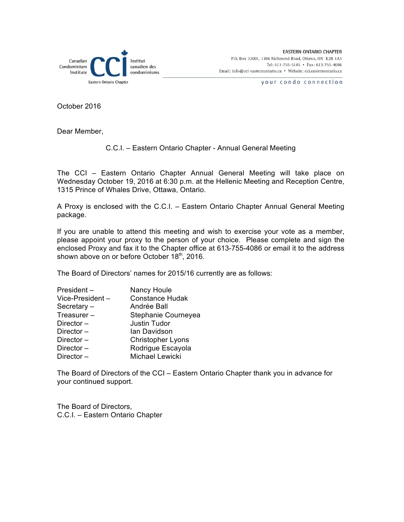

your condo connection

October 2016

Dear Member,

#### C.C.I. – Eastern Ontario Chapter - Annual General Meeting

The CCI – Eastern Ontario Chapter Annual General Meeting will take place on Wednesday October 19, 2016 at 6:30 p.m. at the Hellenic Meeting and Reception Centre, 1315 Prince of Whales Drive, Ottawa, Ontario.

A Proxy is enclosed with the C.C.I. – Eastern Ontario Chapter Annual General Meeting package.

If you are unable to attend this meeting and wish to exercise your vote as a member, please appoint your proxy to the person of your choice. Please complete and sign the enclosed Proxy and fax it to the Chapter office at 613-755-4086 or email it to the address shown above on or before October 18<sup>th</sup>, 2016.

The Board of Directors' names for 2015/16 currently are as follows:

| President-      | Nancy Houle              |  |
|-----------------|--------------------------|--|
| Vice-President- | <b>Constance Hudak</b>   |  |
| Secretary-      | Andrée Ball              |  |
| Treasurer-      | Stephanie Courneyea      |  |
| Director $-$    | Justin Tudor             |  |
| Director $-$    | lan Davidson             |  |
| Director $-$    | <b>Christopher Lyons</b> |  |
| Director $-$    | Rodrigue Escayola        |  |
| Director-       | Michael Lewicki          |  |

The Board of Directors of the CCI – Eastern Ontario Chapter thank you in advance for your continued support.

The Board of Directors, C.C.I. – Eastern Ontario Chapter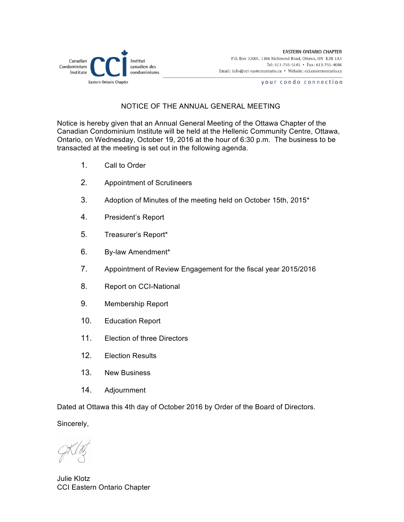

your condo connection

## NOTICE OF THE ANNUAL GENERAL MEETING

Notice is hereby given that an Annual General Meeting of the Ottawa Chapter of the Canadian Condominium Institute will be held at the Hellenic Community Centre, Ottawa, Ontario, on Wednesday, October 19, 2016 at the hour of 6:30 p.m. The business to be transacted at the meeting is set out in the following agenda.

- 1. Call to Order
- 2. Appointment of Scrutineers
- 3. Adoption of Minutes of the meeting held on October 15th, 2015\*
- 4. President's Report
- 5. Treasurer's Report\*
- 6. By-law Amendment\*
- 7. Appointment of Review Engagement for the fiscal year 2015/2016
- 8. Report on CCI-National
- 9. Membership Report
- 10. Education Report
- 11. Election of three Directors
- 12. Election Results
- 13. New Business
- 14. Adjournment

Dated at Ottawa this 4th day of October 2016 by Order of the Board of Directors.

Sincerely,

Julie Klotz CCI Eastern Ontario Chapter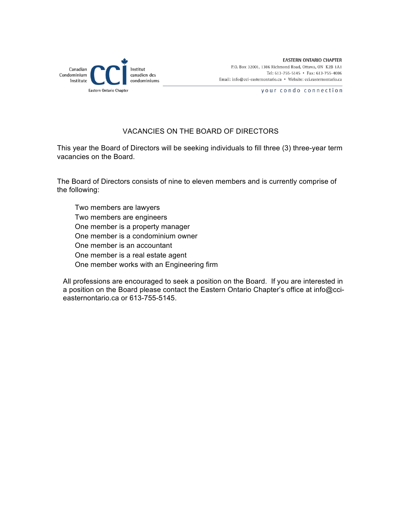

your condo connection

## VACANCIES ON THE BOARD OF DIRECTORS

This year the Board of Directors will be seeking individuals to fill three (3) three-year term vacancies on the Board.

The Board of Directors consists of nine to eleven members and is currently comprise of the following:

 Two members are lawyers Two members are engineers One member is a property manager One member is a condominium owner One member is an accountant One member is a real estate agent One member works with an Engineering firm

All professions are encouraged to seek a position on the Board. If you are interested in a position on the Board please contact the Eastern Ontario Chapter's office at info@ccieasternontario.ca or 613-755-5145.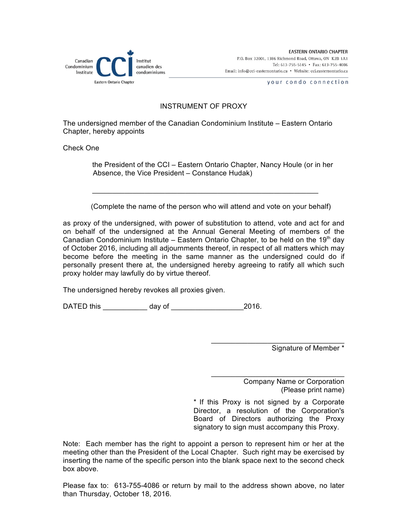

**EASTERN ONTARIO CHAPTER** P.O. Box 32001, 1386 Richmond Road, Ottawa, ON K2B 1A1 Tel: 613-755-5145 · Fax: 613-755-4086 Email: info@cci-easternontario.ca • Website: cci.easternontario.ca

your condo connection

### INSTRUMENT OF PROXY

The undersigned member of the Canadian Condominium Institute – Eastern Ontario Chapter, hereby appoints

 $\mathcal{L}_\text{max}$  , and the contribution of the contribution of the contribution of the contribution of the contribution of the contribution of the contribution of the contribution of the contribution of the contribution of t

Check One

 the President of the CCI – Eastern Ontario Chapter, Nancy Houle (or in her Absence, the Vice President – Constance Hudak)

(Complete the name of the person who will attend and vote on your behalf)

as proxy of the undersigned, with power of substitution to attend, vote and act for and on behalf of the undersigned at the Annual General Meeting of members of the Canadian Condominium Institute – Eastern Ontario Chapter, to be held on the 19<sup>th</sup> day of October 2016, including all adjournments thereof, in respect of all matters which may become before the meeting in the same manner as the undersigned could do if personally present there at, the undersigned hereby agreeing to ratify all which such proxy holder may lawfully do by virtue thereof.

The undersigned hereby revokes all proxies given.

DATED this \_\_\_\_\_\_\_\_\_\_\_ day of \_\_\_\_\_\_\_\_\_\_\_\_\_\_\_\_\_\_2016.

Signature of Member \*

Company Name or Corporation (Please print name)

\* If this Proxy is not signed by a Corporate Director, a resolution of the Corporation's Board of Directors authorizing the Proxy signatory to sign must accompany this Proxy.

 $\mathcal{L}_\mathcal{L}$  , which is a set of the set of the set of the set of the set of the set of the set of the set of the set of the set of the set of the set of the set of the set of the set of the set of the set of the set of

 $\mathcal{L}_\mathcal{L}$  , which is a set of the set of the set of the set of the set of the set of the set of the set of the set of the set of the set of the set of the set of the set of the set of the set of the set of the set of

Note: Each member has the right to appoint a person to represent him or her at the meeting other than the President of the Local Chapter. Such right may be exercised by inserting the name of the specific person into the blank space next to the second check box above.

Please fax to: 613-755-4086 or return by mail to the address shown above, no later than Thursday, October 18, 2016.